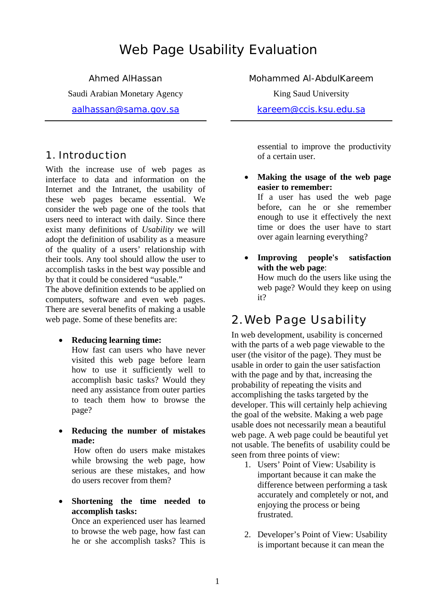# Web Page Usability Evaluation

Ahmed AlHassan Saudi Arabian Monetary Agency aalhassan@sama.gov.sa

## 1. Introduction

With the increase use of web pages as interface to data and information on the Internet and the Intranet, the usability of these web pages became essential. We consider the web page one of the tools that users need to interact with daily. Since there exist many definitions of *Usability* we will adopt the definition of usability as a measure of the quality of a users' relationship with their tools. Any tool should allow the user to accomplish tasks in the best way possible and by that it could be considered "usable."

The above definition extends to be applied on computers, software and even web pages. There are several benefits of making a usable web page. Some of these benefits are:

• **Reducing learning time:**

How fast can users who have never visited this web page before learn how to use it sufficiently well to accomplish basic tasks? Would they need any assistance from outer parties to teach them how to browse the page?

• **Reducing the number of mistakes made:**

How often do users make mistakes while browsing the web page, how serious are these mistakes, and how do users recover from them?

• **Shortening the time needed to accomplish tasks:**

Once an experienced user has learned to browse the web page, how fast can he or she accomplish tasks? This is

Mohammed Al-AbdulKareem

King Saud University

kareem@ccis.ksu.edu.sa

essential to improve the productivity of a certain user.

- **Making the usage of the web page easier to remember:**  If a user has used the web page before, can he or she remember enough to use it effectively the next time or does the user have to start over again learning everything?
- **Improving people's satisfaction with the web page**: How much do the users like using the web page? Would they keep on using it?

## 2. Web Page Usability

In web development, usability is concerned with the parts of a web page viewable to the user (the visitor of the page). They must be usable in order to gain the user satisfaction with the page and by that, increasing the probability of repeating the visits and accomplishing the tasks targeted by the developer. This will certainly help achieving the goal of the website. Making a web page usable does not necessarily mean a beautiful web page. A web page could be beautiful yet not usable. The benefits of usability could be seen from three points of view:

- 1. Users' Point of View: Usability is important because it can make the difference between performing a task accurately and completely or not, and enjoying the process or being frustrated.
- 2. Developer's Point of View: Usability is important because it can mean the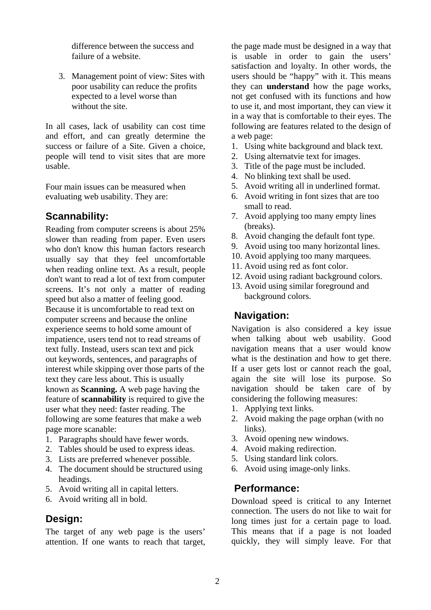difference between the success and failure of a website.

3. Management point of view: Sites with poor usability can reduce the profits expected to a level worse than without the site.

In all cases, lack of usability can cost time and effort, and can greatly determine the success or failure of a Site. Given a choice, people will tend to visit sites that are more usable.

Four main issues can be measured when evaluating web usability. They are:

### **Scannability:**

Reading from computer screens is about 25% slower than reading from paper. Even users who don't know this human factors research usually say that they feel uncomfortable when reading online text. As a result, people don't want to read a lot of text from computer screens. It's not only a matter of reading speed but also a matter of feeling good. Because it is uncomfortable to read text on computer screens and because the online experience seems to hold some amount of impatience, users tend not to read streams of text fully. Instead, users scan text and pick out keywords, sentences, and paragraphs of interest while skipping over those parts of the text they care less about. This is usually known as **Scanning.** A web page having the feature of **scannability** is required to give the user what they need: faster reading. The following are some features that make a web page more scanable:

- 1. Paragraphs should have fewer words.
- 2. Tables should be used to express ideas.
- 3. Lists are preferred whenever possible.
- 4. The document should be structured using headings.
- 5. Avoid writing all in capital letters.
- 6. Avoid writing all in bold.

#### **Design:**

The target of any web page is the users' attention. If one wants to reach that target, the page made must be designed in a way that is usable in order to gain the users' satisfaction and loyalty. In other words, the users should be "happy" with it. This means they can **understand** how the page works, not get confused with its functions and how to use it, and most important, they can view it in a way that is comfortable to their eyes. The following are features related to the design of a web page:

- 1. Using white background and black text.
- 2. Using alternatvie text for images.
- 3. Title of the page must be included.
- 4. No blinking text shall be used.
- 5. Avoid writing all in underlined format.
- 6. Avoid writing in font sizes that are too small to read.
- 7. Avoid applying too many empty lines (breaks).
- 8. Avoid changing the default font type.
- 9. Avoid using too many horizontal lines.
- 10. Avoid applying too many marquees.
- 11. Avoid using red as font color.
- 12. Avoid using radiant background colors.
- 13. Avoid using similar foreground and background colors.

### **Navigation:**

Navigation is also considered a key issue when talking about web usability. Good navigation means that a user would know what is the destination and how to get there. If a user gets lost or cannot reach the goal, again the site will lose its purpose. So navigation should be taken care of by considering the following measures:

- 1. Applying text links.
- 2. Avoid making the page orphan (with no links).
- 3. Avoid opening new windows.
- 4. Avoid making redirection.
- 5. Using standard link colors.
- 6. Avoid using image-only links.

#### **Performance:**

Download speed is critical to any Internet connection. The users do not like to wait for long times just for a certain page to load. This means that if a page is not loaded quickly, they will simply leave. For that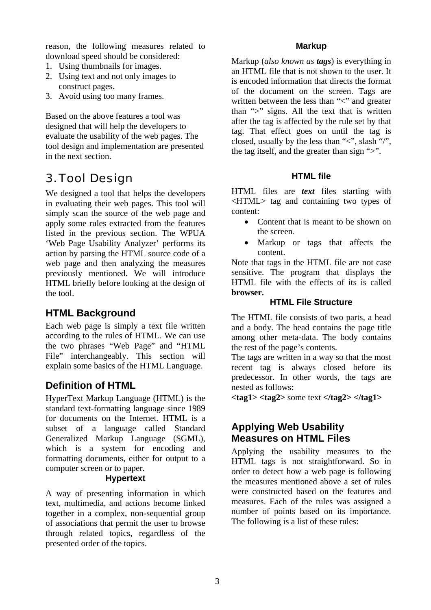reason, the following measures related to download speed should be considered:

- 1. Using thumbnails for images.
- 2. Using text and not only images to construct pages.
- 3. Avoid using too many frames.

Based on the above features a tool was designed that will help the developers to evaluate the usability of the web pages. The tool design and implementation are presented in the next section.

# 3. Tool Design

We designed a tool that helps the developers in evaluating their web pages. This tool will simply scan the source of the web page and apply some rules extracted from the features listed in the previous section. The WPUA 'Web Page Usability Analyzer' performs its action by parsing the HTML source code of a web page and then analyzing the measures previously mentioned. We will introduce HTML briefly before looking at the design of the tool.

## **HTML Background**

Each web page is simply a text file written according to the rules of HTML. We can use the two phrases "Web Page" and "HTML File" interchangeably. This section will explain some basics of the HTML Language.

## **Definition of HTML**

HyperText Markup Language (HTML) is the standard text-formatting language since 1989 for documents on the Internet. HTML is a subset of a language called Standard Generalized Markup Language (SGML), which is a system for encoding and formatting documents, either for output to a computer screen or to paper.

#### **Hypertext**

A way of presenting information in which text, multimedia, and actions become linked together in a complex, non-sequential group of associations that permit the user to browse through related topics, regardless of the presented order of the topics.

#### **Markup**

Markup (*also known as tags*) is everything in an HTML file that is not shown to the user. It is encoded information that directs the format of the document on the screen. Tags are written between the less than "<" and greater than ">" signs. All the text that is written after the tag is affected by the rule set by that tag. That effect goes on until the tag is closed, usually by the less than " $\lt$ ", slash "/", the tag itself, and the greater than sign ">".

#### **HTML file**

HTML files are *text* files starting with <HTML> tag and containing two types of content:

- Content that is meant to be shown on the screen.
- Markup or tags that affects the content.

Note that tags in the HTML file are not case sensitive. The program that displays the HTML file with the effects of its is called **browser.**

#### **HTML File Structure**

The HTML file consists of two parts, a head and a body. The head contains the page title among other meta-data. The body contains the rest of the page's contents.

The tags are written in a way so that the most recent tag is always closed before its predecessor. In other words, the tags are nested as follows:

**<tag1> <tag2>** some text **</tag2> </tag1>** 

## **Applying Web Usability Measures on HTML Files**

Applying the usability measures to the HTML tags is not straightforward. So in order to detect how a web page is following the measures mentioned above a set of rules were constructed based on the features and measures. Each of the rules was assigned a number of points based on its importance. The following is a list of these rules: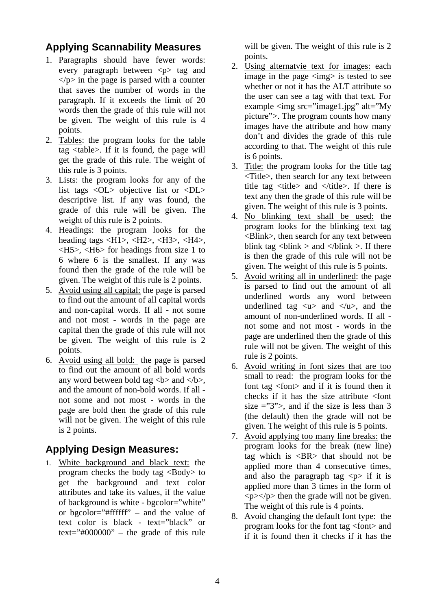## **Applying Scannability Measures**

- 1. Paragraphs should have fewer words: every paragraph between  $\langle p \rangle$  tag and  $\langle \psi \rangle$  in the page is parsed with a counter that saves the number of words in the paragraph. If it exceeds the limit of 20 words then the grade of this rule will not be given. The weight of this rule is 4 points.
- 2. Tables: the program looks for the table tag <table>. If it is found, the page will get the grade of this rule. The weight of this rule is 3 points.
- 3. Lists: the program looks for any of the list tags <OL> objective list or <DL> descriptive list. If any was found, the grade of this rule will be given. The weight of this rule is 2 points.
- 4. Headings: the program looks for the heading tags <H1>, <H2>, <H3>, <H4>, <H5>, <H6> for headings from size 1 to 6 where 6 is the smallest. If any was found then the grade of the rule will be given. The weight of this rule is 2 points.
- 5. Avoid using all capital: the page is parsed to find out the amount of all capital words and non-capital words. If all - not some and not most - words in the page are capital then the grade of this rule will not be given. The weight of this rule is 2 points.
- 6. Avoid using all bold: the page is parsed to find out the amount of all bold words any word between bold tag  **and**  $**4**$ **.** and the amount of non-bold words. If all not some and not most - words in the page are bold then the grade of this rule will not be given. The weight of this rule is 2 points.

## **Applying Design Measures:**

1. White background and black text: the program checks the body tag <Body> to get the background and text color attributes and take its values, if the value of background is white - bgcolor="white" or bgcolor="#ffffff" – and the value of text color is black - text="black" or  $text="#000000"$  – the grade of this rule will be given. The weight of this rule is 2 points.

- 2. Using alternatvie text for images: each image in the page  $\langle \text{img} \rangle$  is tested to see whether or not it has the ALT attribute so the user can see a tag with that text. For example <img src="image1.jpg" alt="My picture">. The program counts how many images have the attribute and how many don't and divides the grade of this rule according to that. The weight of this rule is 6 points.
- 3. Title: the program looks for the title tag <Title>, then search for any text between title tag  $\langle$ title and  $\langle$  /title  $\rangle$ . If there is text any then the grade of this rule will be given. The weight of this rule is 3 points.
- 4. No blinking text shall be used: the program looks for the blinking text tag <Blink>, then search for any text between blink tag  $\langle$ blink  $>$  and  $\langle$ blink  $>$ . If there is then the grade of this rule will not be given. The weight of this rule is 5 points.
- 5. Avoid writing all in underlined: the page is parsed to find out the amount of all underlined words any word between underlined tag  $\langle u \rangle$  and  $\langle u \rangle$ , and the amount of non-underlined words. If all not some and not most - words in the page are underlined then the grade of this rule will not be given. The weight of this rule is 2 points.
- 6. Avoid writing in font sizes that are too small to read: the program looks for the font tag <font> and if it is found then it checks if it has the size attribute <font size  $=$  "3">, and if the size is less than 3 (the default) then the grade will not be given. The weight of this rule is 5 points.
- 7. Avoid applying too many line breaks: the program looks for the break (new line) tag which is  $\langle BR \rangle$  that should not be applied more than 4 consecutive times, and also the paragraph tag  $\langle p \rangle$  if it is applied more than 3 times in the form of  $\langle p \rangle \langle p \rangle$  then the grade will not be given. The weight of this rule is 4 points.
- 8. Avoid changing the default font type: the program looks for the font tag <font> and if it is found then it checks if it has the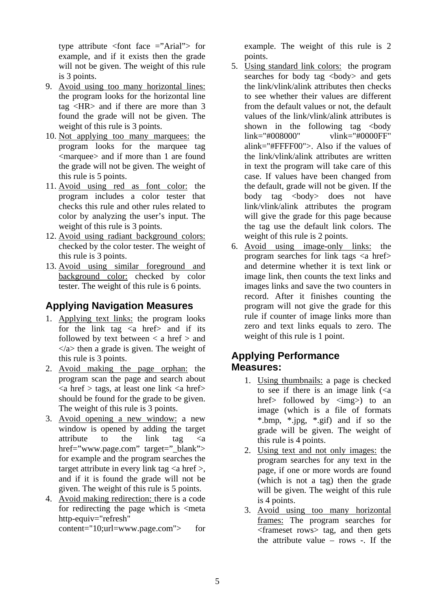type attribute <font face ="Arial"> for example, and if it exists then the grade will not be given. The weight of this rule is 3 points.

- 9. Avoid using too many horizontal lines: the program looks for the horizontal line tag <HR> and if there are more than 3 found the grade will not be given. The weight of this rule is 3 points.
- 10. Not applying too many marquees: the program looks for the marquee tag <marquee> and if more than 1 are found the grade will not be given. The weight of this rule is 5 points.
- 11. Avoid using red as font color: the program includes a color tester that checks this rule and other rules related to color by analyzing the user's input. The weight of this rule is 3 points.
- 12. Avoid using radiant background colors: checked by the color tester. The weight of this rule is 3 points.
- 13. Avoid using similar foreground and background color: checked by color tester. The weight of this rule is 6 points.

## **Applying Navigation Measures**

- 1. Applying text links: the program looks for the link tag  $\langle a \rangle$  href> and if its followed by text between  $\langle a \rangle$  and  $\langle \rangle$  then a grade is given. The weight of this rule is 3 points.
- 2. Avoid making the page orphan: the program scan the page and search about  $\langle a \rangle$  href  $>$  tags, at least one link  $\langle a \rangle$  href should be found for the grade to be given. The weight of this rule is 3 points.
- 3. Avoid opening a new window: a new window is opened by adding the target attribute to the link tag  $\langle a \rangle$ href="www.page.com" target=" blank"> for example and the program searches the target attribute in every link tag  $\langle a \text{ href} \rangle$ , and if it is found the grade will not be given. The weight of this rule is 5 points.
- 4. Avoid making redirection: there is a code for redirecting the page which is  $\leq$  meta http-equiv="refresh"

content="10;url=www.page.com"> for

example. The weight of this rule is 2 points.

- 5. Using standard link colors: the program searches for body tag <br/>body> and gets the link/vlink/alink attributes then checks to see whether their values are different from the default values or not, the default values of the link/vlink/alink attributes is shown in the following tag  $\lt{body}$ link="#008000" vlink="#0000FF" alink="#FFFF00">. Also if the values of the link/vlink/alink attributes are written in text the program will take care of this case. If values have been changed from the default, grade will not be given. If the body tag <br/>body> does not have link/vlink/alink attributes the program will give the grade for this page because the tag use the default link colors. The weight of this rule is 2 points.
- 6. Avoid using image-only links: the program searches for link tags  $\langle a \text{ href} \rangle$ and determine whether it is text link or image link, then counts the text links and images links and save the two counters in record. After it finishes counting the program will not give the grade for this rule if counter of image links more than zero and text links equals to zero. The weight of this rule is 1 point.

### **Applying Performance Measures:**

- 1. Using thumbnails: a page is checked to see if there is an image link  $\left(\langle a\right\rangle$ href> followed by  $\langle$ img>) to an image (which is a file of formats \*.bmp, \*.jpg, \*.gif) and if so the grade will be given. The weight of this rule is 4 points.
- 2. Using text and not only images: the program searches for any text in the page, if one or more words are found (which is not a tag) then the grade will be given. The weight of this rule is 4 points.
- 3. Avoid using too many horizontal frames: The program searches for <frameset rows> tag, and then gets the attribute value – rows -. If the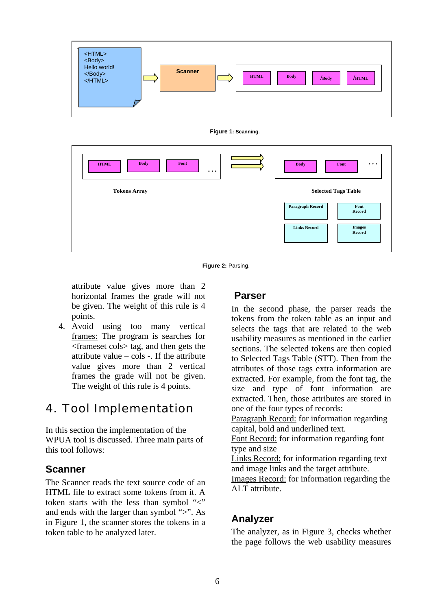

**Figure 1: Scanning.**

| <b>Body</b><br>Font<br><b>HTML</b><br>$\ddotsc$ | <b>Body</b><br>Font<br>$\cdots$                |
|-------------------------------------------------|------------------------------------------------|
| <b>Tokens Array</b>                             | <b>Selected Tags Table</b>                     |
|                                                 | Paragraph Record<br>Font<br>Record             |
|                                                 | <b>Links Record</b><br><b>Images</b><br>Record |

**Figure 2:** Parsing.

attribute value gives more than 2 horizontal frames the grade will not be given. The weight of this rule is 4 points.

4. Avoid using too many vertical frames: The program is searches for <frameset cols> tag, and then gets the attribute value  $-\cosh$  -. If the attribute value gives more than 2 vertical frames the grade will not be given. The weight of this rule is 4 points.

## 4. Tool Implementation

In this section the implementation of the WPUA tool is discussed. Three main parts of this tool follows:

#### **Scanner**

The Scanner reads the text source code of an HTML file to extract some tokens from it. A token starts with the less than symbol "<" and ends with the larger than symbol ">". As in Figure 1, the scanner stores the tokens in a token table to be analyzed later.

### **Parser**

In the second phase, the parser reads the tokens from the token table as an input and selects the tags that are related to the web usability measures as mentioned in the earlier sections. The selected tokens are then copied to Selected Tags Table (STT). Then from the attributes of those tags extra information are extracted. For example, from the font tag, the size and type of font information are extracted. Then, those attributes are stored in one of the four types of records:

Paragraph Record: for information regarding capital, bold and underlined text.

Font Record: for information regarding font type and size

Links Record: for information regarding text and image links and the target attribute.

Images Record: for information regarding the ALT attribute.

## **Analyzer**

The analyzer, as in Figure 3, checks whether the page follows the web usability measures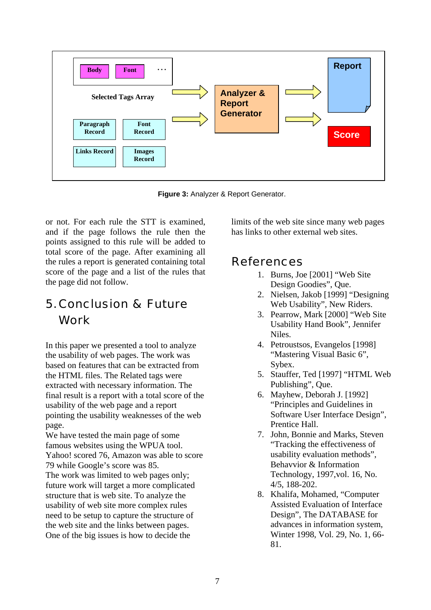

**Figure 3:** Analyzer & Report Generator.

or not. For each rule the STT is examined, and if the page follows the rule then the points assigned to this rule will be added to total score of the page. After examining all the rules a report is generated containing total score of the page and a list of the rules that the page did not follow.

# 5. Conclusion & Future Work

In this paper we presented a tool to analyze the usability of web pages. The work was based on features that can be extracted from the HTML files. The Related tags were extracted with necessary information. The final result is a report with a total score of the usability of the web page and a report pointing the usability weaknesses of the web page.

We have tested the main page of some famous websites using the WPUA tool. Yahoo! scored 76, Amazon was able to score 79 while Google's score was 85.

The work was limited to web pages only; future work will target a more complicated structure that is web site. To analyze the usability of web site more complex rules need to be setup to capture the structure of the web site and the links between pages. One of the big issues is how to decide the

limits of the web site since many web pages has links to other external web sites.

## References

- 1. Burns, Joe [2001] "Web Site Design Goodies", Que.
- 2. Nielsen, Jakob [1999] "Designing Web Usability", New Riders.
- 3. Pearrow, Mark [2000] "Web Site Usability Hand Book", Jennifer Niles.
- 4. Petroustsos, Evangelos [1998] "Mastering Visual Basic 6", Sybex.
- 5. Stauffer, Ted [1997] "HTML Web Publishing", Que.
- 6. Mayhew, Deborah J. [1992] "Principles and Guidelines in Software User Interface Design", Prentice Hall.
- 7. John, Bonnie and Marks, Steven "Tracking the effectiveness of usability evaluation methods", Behavvior & Information Technology, 1997,vol. 16, No. 4/5, 188-202.
- 8. Khalifa, Mohamed, "Computer Assisted Evaluation of Interface Design", The DATABASE for advances in information system, Winter 1998, Vol. 29, No. 1, 66- 81.